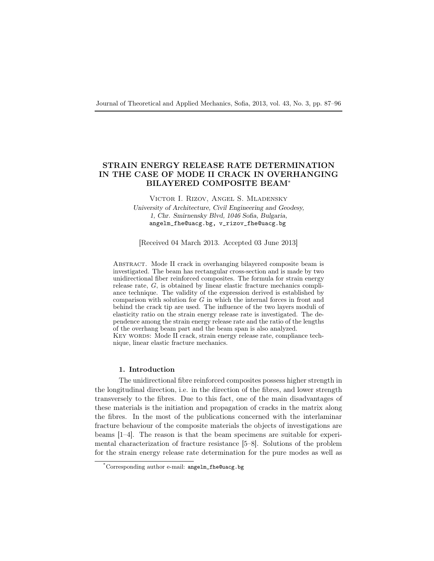# STRAIN ENERGY RELEASE RATE DETERMINATION IN THE CASE OF MODE II CRACK IN OVERHANGING BILAYERED COMPOSITE BEAM<sup>∗</sup>

Victor I. Rizov, Angel S. Mladensky University of Architecture, Civil Engineering and Geodesy, 1, Chr. Smirnensky Blvd, 1046 Sofia, Bulgaria, angelm\_fhe@uacg.bg, v\_rizov\_fhe@uacg.bg

[Received 04 March 2013. Accepted 03 June 2013]

Abstract. Mode II crack in overhanging bilayered composite beam is investigated. The beam has rectangular cross-section and is made by two unidirectional fiber reinforced composites. The formula for strain energy release rate,  $G$ , is obtained by linear elastic fracture mechanics compliance technique. The validity of the expression derived is established by comparison with solution for  $G$  in which the internal forces in front and behind the crack tip are used. The influence of the two layers moduli of elasticity ratio on the strain energy release rate is investigated. The dependence among the strain energy release rate and the ratio of the lengths of the overhang beam part and the beam span is also analyzed. KEY WORDS: Mode II crack, strain energy release rate, compliance technique, linear elastic fracture mechanics.

### 1. Introduction

The unidirectional fibre reinforced composites possess higher strength in the longitudinal direction, i.e. in the direction of the fibres, and lower strength transversely to the fibres. Due to this fact, one of the main disadvantages of these materials is the initiation and propagation of cracks in the matrix along the fibres. In the most of the publications concerned with the interlaminar fracture behaviour of the composite materials the objects of investigations are beams [1–4]. The reason is that the beam specimens are suitable for experimental characterization of fracture resistance [5–8]. Solutions of the problem for the strain energy release rate determination for the pure modes as well as

<sup>\*</sup>Corresponding author e-mail: angelm\_fhe@uacg.bg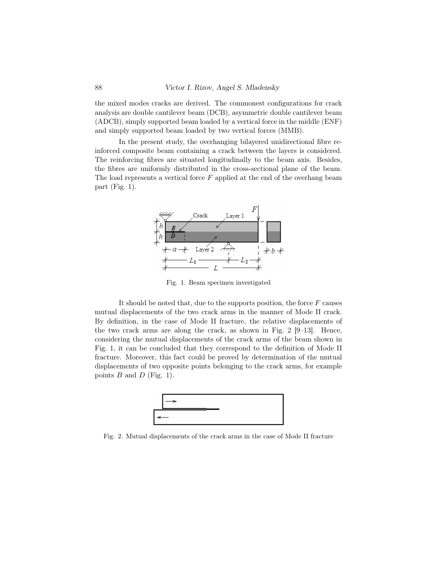the mixed modes cracks are derived. The commonest configurations for crack analysis are double cantilever beam (DCB), asymmetric double cantilever beam (ADCB), simply supported beam loaded by a vertical force in the middle (ENF) and simply supported beam loaded by two vertical forces (MMB).

In the present study, the overhanging bilayered unidirectional fibre reinforced composite beam containing a crack between the layers is considered. The reinforcing fibres are situated longitudinally to the beam axis. Besides, the fibres are uniformly distributed in the cross-sectional plane of the beam. The load represents a vertical force  $F$  applied at the end of the overhang beam part (Fig. 1).



Fig. 1. Beam specimen investigated

It should be noted that, due to the supports position, the force  $F$  causes mutual displacements of the two crack arms in the manner of Mode II crack. By definition, in the case of Mode II fracture, the relative displacements of the two crack arms are along the crack, as shown in Fig. 2 [9–13]. Hence, considering the mutual displacements of the crack arms of the beam shown in Fig. 1, it can be concluded that they correspond to the definition of Mode II fracture. Moreover, this fact could be proved by determination of the mutual displacements of two opposite points belonging to the crack arms, for example points  $B$  and  $D$  (Fig. 1).



Fig. 2. Mutual displacements of the crack arms in the case of Mode II fracture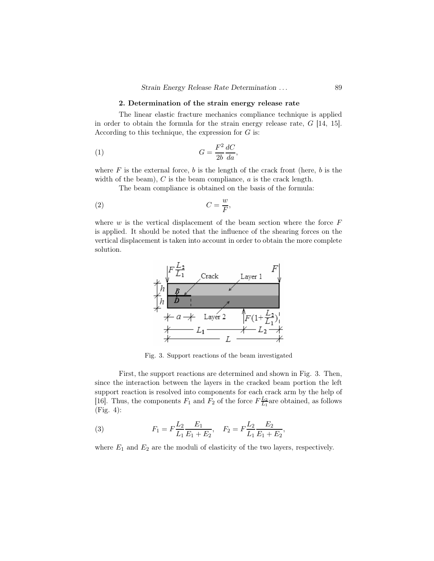#### 2. Determination of the strain energy release rate

The linear elastic fracture mechanics compliance technique is applied in order to obtain the formula for the strain energy release rate, G [14, 15]. According to this technique, the expression for  $G$  is:

$$
(1) \tG = \frac{F^2}{2b} \frac{dC}{da},
$$

where  $F$  is the external force,  $b$  is the length of the crack front (here,  $b$  is the width of the beam),  $C$  is the beam compliance,  $a$  is the crack length.

The beam compliance is obtained on the basis of the formula:

$$
(2) \tC = \frac{w}{F},
$$

where  $w$  is the vertical displacement of the beam section where the force  $F$ is applied. It should be noted that the influence of the shearing forces on the vertical displacement is taken into account in order to obtain the more complete solution.



Fig. 3. Support reactions of the beam investigated

First, the support reactions are determined and shown in Fig. 3. Then, since the interaction between the layers in the cracked beam portion the left support reaction is resolved into components for each crack arm by the help of [16]. Thus, the components  $F_1$  and  $F_2$  of the force  $F\frac{L_2}{L_1}$  are obtained, as follows (Fig. 4):

(3) 
$$
F_1 = F \frac{L_2}{L_1} \frac{E_1}{E_1 + E_2}, \quad F_2 = F \frac{L_2}{L_1} \frac{E_2}{E_1 + E_2},
$$

where  $E_1$  and  $E_2$  are the moduli of elasticity of the two layers, respectively.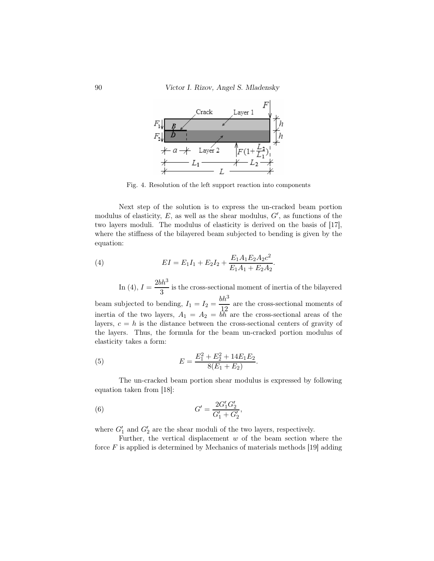

Fig. 4. Resolution of the left support reaction into components

Next step of the solution is to express the un-cracked beam portion modulus of elasticity,  $E$ , as well as the shear modulus,  $G'$ , as functions of the two layers moduli. The modulus of elasticity is derived on the basis of [17], where the stiffness of the bilayered beam subjected to bending is given by the equation:

(4) 
$$
EI = E_1 I_1 + E_2 I_2 + \frac{E_1 A_1 E_2 A_2 c^2}{E_1 A_1 + E_2 A_2}.
$$

In (4),  $I = \frac{2bh^3}{a}$  $\frac{\pi}{3}$  is the cross-sectional moment of inertia of the bilayered beam subjected to bending,  $I_1 = I_2 = \frac{bh^3}{10}$ 

 $\frac{\pi}{12}$  are the cross-sectional moments of inertia of the two layers,  $A_1 = A_2 = bh$  are the cross-sectional areas of the layers,  $c = h$  is the distance between the cross-sectional centers of gravity of the layers. Thus, the formula for the beam un-cracked portion modulus of elasticity takes a form:

(5) 
$$
E = \frac{E_1^2 + E_2^2 + 14E_1E_2}{8(E_1 + E_2)}.
$$

The un-cracked beam portion shear modulus is expressed by following equation taken from [18]:

(6) 
$$
G' = \frac{2G'_1 G'_2}{G'_1 + G'_2},
$$

where  $G'_1$  and  $G'_2$  are the shear moduli of the two layers, respectively.

Further, the vertical displacement  $w$  of the beam section where the force  $F$  is applied is determined by Mechanics of materials methods [19] adding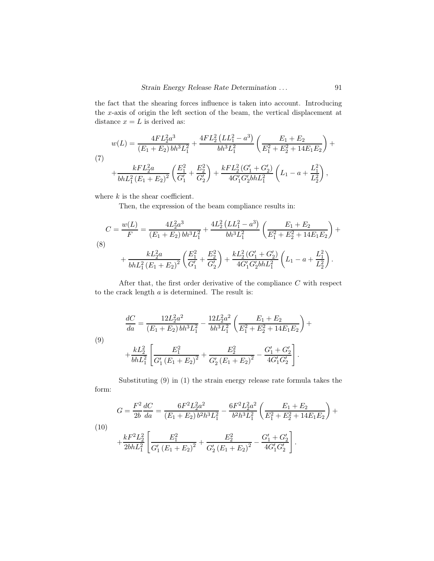the fact that the shearing forces influence is taken into account. Introducing the x-axis of origin the left section of the beam, the vertical displacement at distance  $x = L$  is derived as:

$$
w(L) = \frac{4FL_2^2a^3}{(E_1 + E_2)bh^3L_1^2} + \frac{4FL_2^2(LL_1^2 - a^3)}{bh^3L_1^2} \left(\frac{E_1 + E_2}{E_1^2 + E_2^2 + 14E_1E_2}\right) + \frac{kFL_2^2a}{bhL_1^2(E_1 + E_2)^2} \left(\frac{E_1^2}{G_1'} + \frac{E_2^2}{G_2'}\right) + \frac{kFL_2^2(G_1' + G_2')}{4G_1'G_2'bhL_1^2} \left(L_1 - a + \frac{L_1^2}{L_2^2}\right),
$$

where  $k$  is the shear coefficient.

Then, the expression of the beam compliance results in:

$$
C = \frac{w(L)}{F} = \frac{4L_2^2 a^3}{(E_1 + E_2) bh^3 L_1^2} + \frac{4L_2^2 (LL_1^2 - a^3)}{bh^3 L_1^2} \left(\frac{E_1 + E_2}{E_1^2 + E_2^2 + 14E_1E_2}\right) +
$$
  
(8)  

$$
+ \frac{kL_2^2 a}{bhL_1^2 (E_1 + E_2)^2} \left(\frac{E_1^2}{G_1'} + \frac{E_2^2}{G_2'}\right) + \frac{kL_2^2 (G_1' + G_2')}{4G_1' G_2' bhL_1^2} \left(L_1 - a + \frac{L_1^2}{L_2^2}\right).
$$

After that, the first order derivative of the compliance  $C$  with respect to the crack length  $a$  is determined. The result is:

(9)  
\n
$$
\frac{dC}{da} = \frac{12L_2^2a^2}{(E_1 + E_2)bh^3L_1^2} - \frac{12L_2^2a^2}{bh^3L_1^2} \left(\frac{E_1 + E_2}{E_1^2 + E_2^2 + 14E_1E_2}\right) + \frac{kL_2^2}{bhL_1^2} \left[\frac{E_1^2}{G_1'(E_1 + E_2)^2} + \frac{E_2^2}{G_2'(E_1 + E_2)^2} - \frac{G_1' + G_2'}{4G_1'G_2'}\right].
$$

Substituting (9) in (1) the strain energy release rate formula takes the form:

(10)  
\n
$$
G = \frac{F^2}{2b} \frac{dC}{da} = \frac{6F^2 L_2^2 a^2}{(E_1 + E_2) b^2 h^3 L_1^2} - \frac{6F^2 L_2^2 a^2}{b^2 h^3 L_1^2} \left(\frac{E_1 + E_2}{E_1^2 + E_2^2 + 14E_1 E_2}\right) + \frac{kF^2 L_2^2}{2bhL_1^2} \left[\frac{E_1^2}{G_1' (E_1 + E_2)^2} + \frac{E_2^2}{G_2' (E_1 + E_2)^2} - \frac{G_1' + G_2'}{4G_1' G_2'}\right].
$$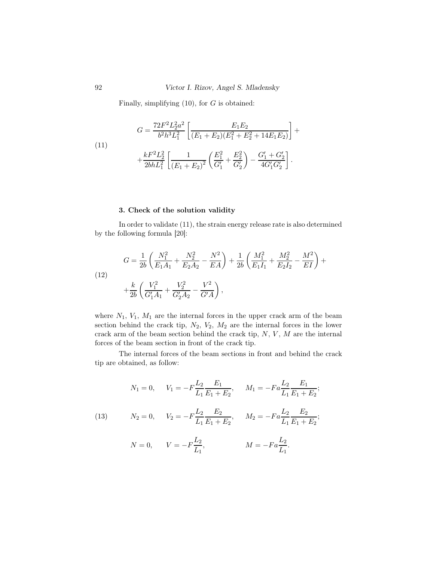Finally, simplifying  $(10)$ , for G is obtained:

(11)  
\n
$$
G = \frac{72F^2L_2^2a^2}{b^2h^3L_1^2} \left[ \frac{E_1E_2}{(E_1 + E_2)(E_1^2 + E_2^2 + 14E_1E_2)} \right] +
$$
\n
$$
+ \frac{kF^2L_2^2}{2bhL_1^2} \left[ \frac{1}{(E_1 + E_2)^2} \left( \frac{E_1^2}{G_1'} + \frac{E_2^2}{G_2'} \right) - \frac{G_1' + G_2'}{4G_1'G_2'} \right].
$$

# 3. Check of the solution validity

In order to validate (11), the strain energy release rate is also determined by the following formula [20]:

(12)  
\n
$$
G = \frac{1}{2b} \left( \frac{N_1^2}{E_1 A_1} + \frac{N_2^2}{E_2 A_2} - \frac{N^2}{EA} \right) + \frac{1}{2b} \left( \frac{M_1^2}{E_1 I_1} + \frac{M_2^2}{E_2 I_2} - \frac{M^2}{EI} \right) + \frac{k}{2b} \left( \frac{V_1^2}{G_1' A_1} + \frac{V_2^2}{G_2' A_2} - \frac{V^2}{G'A} \right),
$$

where  $N_1$ ,  $V_1$ ,  $M_1$  are the internal forces in the upper crack arm of the beam section behind the crack tip,  $N_2$ ,  $V_2$ ,  $M_2$  are the internal forces in the lower crack arm of the beam section behind the crack tip,  $N, V, M$  are the internal forces of the beam section in front of the crack tip.

The internal forces of the beam sections in front and behind the crack tip are obtained, as follow:

$$
N_1 = 0
$$
,  $V_1 = -F\frac{L_2}{L_1}\frac{E_1}{E_1 + E_2}$ ,  $M_1 = -Fa\frac{L_2}{L_1}\frac{E_1}{E_1 + E_2}$ ;

(13) 
$$
N_2 = 0, \quad V_2 = -F\frac{L_2}{L_1}\frac{E_2}{E_1 + E_2}, \quad M_2 = -Fa\frac{L_2}{L_1}\frac{E_2}{E_1 + E_2};
$$

$$
N = 0,
$$
  $V = -F\frac{L_2}{L_1},$   $M = -Fa\frac{L_2}{L_1}.$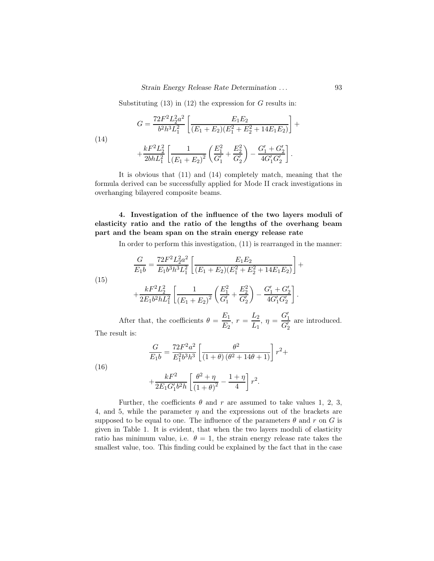Substituting  $(13)$  in  $(12)$  the expression for G results in:

(14)  
\n
$$
G = \frac{72F^2L_2^2a^2}{b^2h^3L_1^2} \left[ \frac{E_1E_2}{(E_1+E_2)(E_1^2+E_2^2+14E_1E_2)} \right] +
$$
\n
$$
+ \frac{kF^2L_2^2}{2bhL_1^2} \left[ \frac{1}{(E_1+E_2)^2} \left( \frac{E_1^2}{G_1'} + \frac{E_2^2}{G_2'} \right) - \frac{G_1'+G_2'}{4G_1'G_2'} \right].
$$

It is obvious that (11) and (14) completely match, meaning that the formula derived can be successfully applied for Mode II crack investigations in overhanging bilayered composite beams.

4. Investigation of the influence of the two layers moduli of elasticity ratio and the ratio of the lengths of the overhang beam part and the beam span on the strain energy release rate

In order to perform this investigation, (11) is rearranged in the manner:

.

(15) 
$$
\frac{G}{E_1 b} = \frac{72F^2 L_2^2 a^2}{E_1 b^3 h^3 L_1^2} \left[ \frac{E_1 E_2}{(E_1 + E_2)(E_1^2 + E_2^2 + 14E_1 E_2)} \right] +
$$

$$
\frac{1}{2} E_1^2 L_2^2 = \frac{1}{2} \left[ \frac{E_1 E_2}{(E_1 + E_2)(E_1^2 + E_2^2 + 14E_1 E_2)} \right] +
$$

$$
+\frac{kF^2L_2^2}{2E_1b^2hL_1^2}\left[\frac{1}{\left(E_1+E_2\right)^2}\left(\frac{E_1^2}{G_1'}+\frac{E_2^2}{G_2'}\right)-\frac{G_1'+G_2'}{4G_1'G_2'}\right]
$$

After that, the coefficients  $\theta = \frac{E_1}{E_1}$  $\frac{E_1}{E_2}, r = \frac{L_2}{L_1}$  $\frac{L_2}{L_1}$ ,  $\eta = \frac{G'_1}{G'_2}$  are introduced.

The result is:

$$
\frac{G}{E_1b}=\frac{72F^2a^2}{E_1^2b^3h^3}\left[\frac{\theta^2}{\left(1+\theta\right)(\theta^2+14\theta+1)}\right]r^2+
$$

(16)

$$
+\frac{kF^2}{2E_1G_1'b^2h}\left[\frac{\theta^2+\eta}{\left(1+\theta\right)^2}-\frac{1+\eta}{4}\right]r^2.
$$

Further, the coefficients  $\theta$  and r are assumed to take values 1, 2, 3, 4, and 5, while the parameter  $\eta$  and the expressions out of the brackets are supposed to be equal to one. The influence of the parameters  $\theta$  and r on G is given in Table 1. It is evident, that when the two layers moduli of elasticity ratio has minimum value, i.e.  $\theta = 1$ , the strain energy release rate takes the smallest value, too. This finding could be explained by the fact that in the case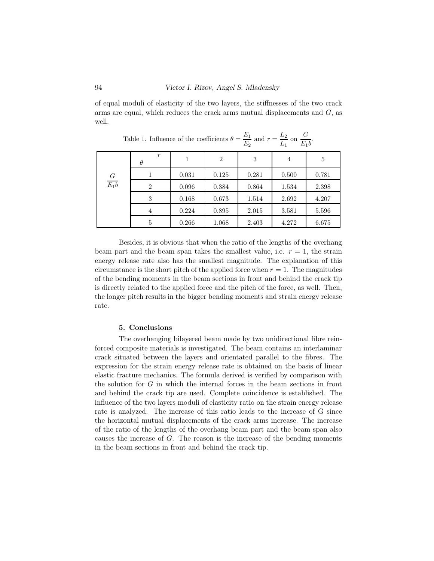of equal moduli of elasticity of the two layers, the stiffnesses of the two crack arms are equal, which reduces the crack arms mutual displacements and  $G$ , as well.

|                   |                              |       |       | $-2$  | $\overline{ }$<br>10 |           |
|-------------------|------------------------------|-------|-------|-------|----------------------|-----------|
| $\frac{G}{E_1 b}$ | $\boldsymbol{r}$<br>$\theta$ |       | 2     | 3     | $\overline{4}$       | 5         |
|                   |                              | 0.031 | 0.125 | 0.281 | 0.500                | 0.781     |
|                   | 2                            | 0.096 | 0.384 | 0.864 | 1.534                | $2.398\,$ |
|                   | 3                            | 0.168 | 0.673 | 1.514 | 2.692                | 4.207     |
|                   | 4                            | 0.224 | 0.895 | 2.015 | 3.581                | 5.596     |
|                   | 5                            | 0.266 | 1.068 | 2.403 | 4.272                | 6.675     |

Table 1. Influence of the coefficients  $\theta = \frac{E_1}{E_1}$  $\frac{E_1}{E_2}$  and  $r = \frac{L_2}{L_1}$  $rac{L_2}{L_1}$  on  $rac{G}{E_1}$  $\frac{c}{E_1b}$ .

Besides, it is obvious that when the ratio of the lengths of the overhang beam part and the beam span takes the smallest value, i.e.  $r = 1$ , the strain energy release rate also has the smallest magnitude. The explanation of this circumstance is the short pitch of the applied force when  $r = 1$ . The magnitudes of the bending moments in the beam sections in front and behind the crack tip is directly related to the applied force and the pitch of the force, as well. Then, the longer pitch results in the bigger bending moments and strain energy release rate.

#### 5. Conclusions

The overhanging bilayered beam made by two unidirectional fibre reinforced composite materials is investigated. The beam contains an interlaminar crack situated between the layers and orientated parallel to the fibres. The expression for the strain energy release rate is obtained on the basis of linear elastic fracture mechanics. The formula derived is verified by comparison with the solution for  $G$  in which the internal forces in the beam sections in front and behind the crack tip are used. Complete coincidence is established. The influence of the two layers moduli of elasticity ratio on the strain energy release rate is analyzed. The increase of this ratio leads to the increase of G since the horizontal mutual displacements of the crack arms increase. The increase of the ratio of the lengths of the overhang beam part and the beam span also causes the increase of G. The reason is the increase of the bending moments in the beam sections in front and behind the crack tip.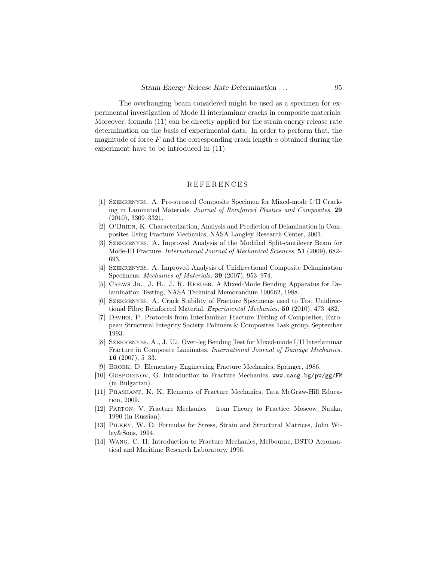The overhanging beam considered might be used as a specimen for experimental investigation of Mode II interlaminar cracks in composite materials. Moreover, formula (11) can be directly applied for the strain energy release rate determination on the basis of experimental data. In order to perform that, the magnitude of force  $F$  and the corresponding crack length  $a$  obtained during the experiment have to be introduced in (11).

### **REFERENCES**

- [1] Szekrenyes, A. Pre-stressed Composite Specimen for Mixed-mode I/II Cracking in Laminated Materials. Journal of Reinforced Plastics and Composites, 29 (2010), 3309–3321.
- [2] O'Brien, K. Characterization, Analysis and Prediction of Delamination in Composites Using Fracture Mechanics, NASA Langley Research Center, 2001.
- [3] Szekrenyes, A. Improved Analysis of the Modified Split-cantilever Beam for Mode-III Fracture. International Journal of Mechanical Sciences, 51 (2009), 682– 693.
- [4] Szekrenyes, A. Improved Analysis of Unidirectional Composite Delamination Specimens. Mechanics of Materials, 39 (2007), 953–974.
- [5] Crews Jr., J. H., J. R. Reeder. A Mixed-Mode Bending Apparatus for Delamination Testing, NASA Technical Memorandum 100662, 1988.
- [6] Szekrenyes, A. Crack Stability of Fracture Specimens used to Test Unidirectional Fibre Reinforced Material. Experimental Mechanics, 50 (2010), 473–482.
- [7] Davies, P. Protocols from Interlaminar Fracture Testing of Composites, European Structural Integrity Society, Polimers & Composites Task group, September 1993.
- [8] Szekrenyes, A., J. Uj. Over-leg Bending Test for Mixed-mode I/II Interlaminar Fracture in Composite Laminates. International Journal of Damage Mechanics, 16 (2007), 5–33.
- [9] Broek, D. Elementary Engineering Fracture Mechanics, Springer, 1986.
- [10] GOSPODINOV, G. Introduction to Fracture Mechanics, www.uacg.bg/pw/gg/FM (in Bulgarian).
- [11] Prashant, K. K. Elements of Fracture Mechanics, Tata McGraw-Hill Education, 2009.
- [12] Parton, V. Fracture Mechanics from Theory to Practice, Moscow, Nauka, 1990 (in Russian).
- [13] Pilkey, W. D. Formulas for Stress, Strain and Structural Matrices, John Wiley&Sons, 1994.
- [14] Wang, C. H. Introduction to Fracture Mechanics, Melbourne, DSTO Aeronautical and Maritime Research Laboratory, 1996.